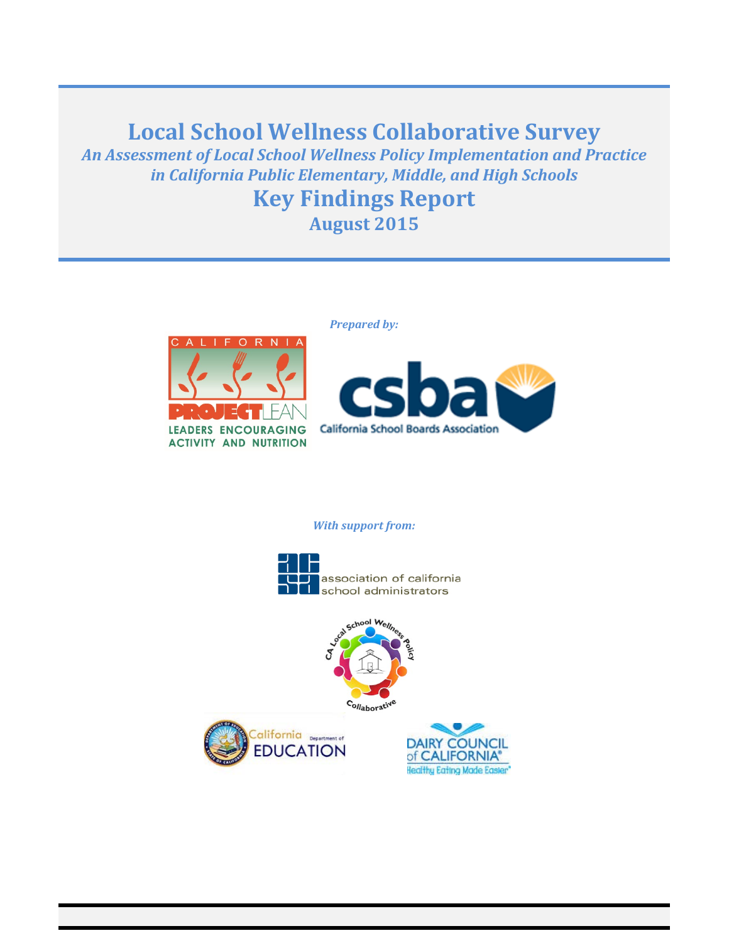# **Local School Wellness Collaborative Survey**

*An Assessment of Local School Wellness Policy Implementation and Practice in California Public Elementary, Middle, and High Schools*

# **Key Findings Report August 2015**

*Prepared by:*







#### *With support from:*







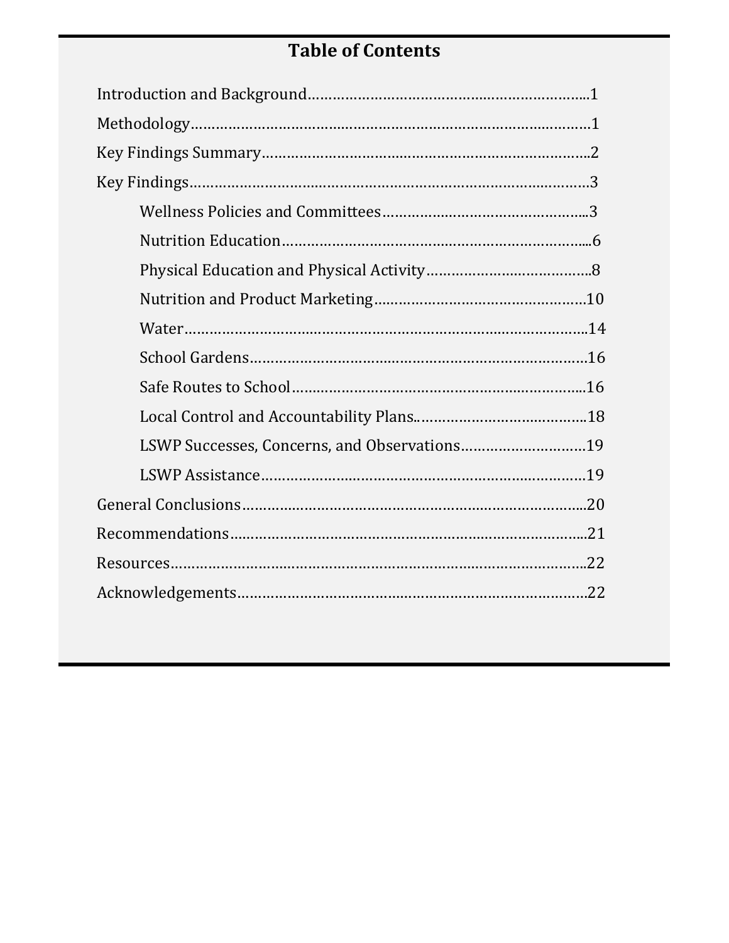# **Table of Contents**

| LSWP Successes, Concerns, and Observations19 |
|----------------------------------------------|
|                                              |
|                                              |
|                                              |
|                                              |
|                                              |
|                                              |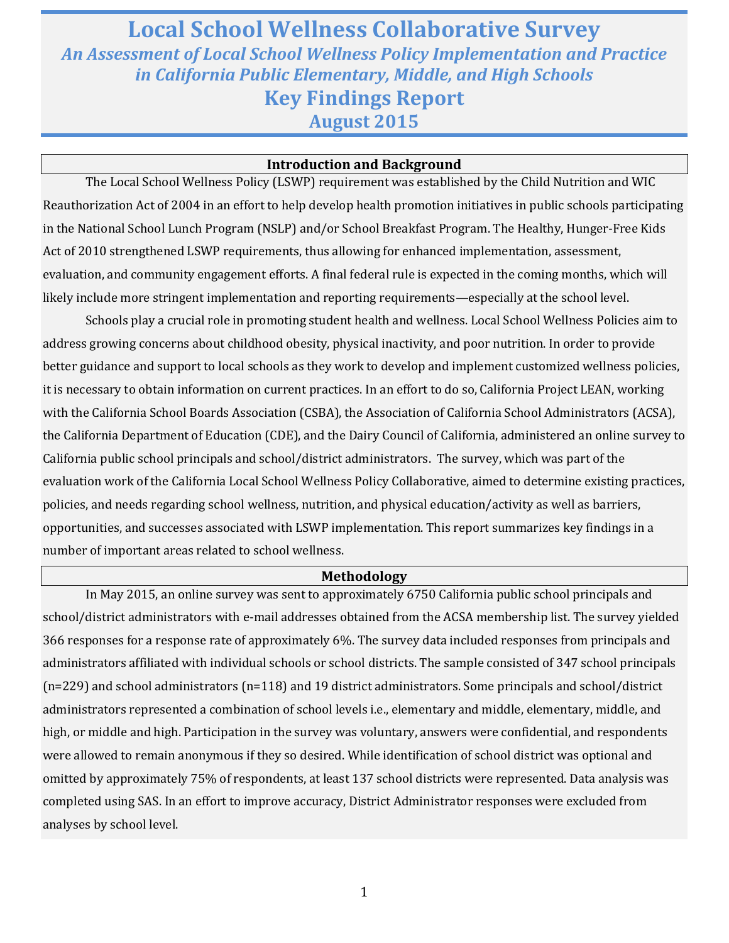# **Local School Wellness Collaborative Survey** *An Assessment of Local School Wellness Policy Implementation and Practice in California Public Elementary, Middle, and High Schools* **Key Findings Report August 2015**

#### **Introduction and Background**

The Local School Wellness Policy (LSWP) requirement was established by the Child Nutrition and WIC Reauthorization Act of 2004 in an effort to help develop health promotion initiatives in public schools participating in the National School Lunch Program (NSLP) and/or School Breakfast Program. The Healthy, Hunger-Free Kids Act of 2010 strengthened LSWP requirements, thus allowing for enhanced implementation, assessment, evaluation, and community engagement efforts. A final federal rule is expected in the coming months, which will likely include more stringent implementation and reporting requirements—especially at the school level.

Schools play a crucial role in promoting student health and wellness. Local School Wellness Policies aim to address growing concerns about childhood obesity, physical inactivity, and poor nutrition. In order to provide better guidance and support to local schools as they work to develop and implement customized wellness policies, it is necessary to obtain information on current practices. In an effort to do so, California Project LEAN, working with the California School Boards Association (CSBA), the Association of California School Administrators (ACSA), the California Department of Education (CDE), and the Dairy Council of California, administered an online survey to California public school principals and school/district administrators. The survey, which was part of the evaluation work of the California Local School Wellness Policy Collaborative, aimed to determine existing practices, policies, and needs regarding school wellness, nutrition, and physical education/activity as well as barriers, opportunities, and successes associated with LSWP implementation. This report summarizes key findings in a number of important areas related to school wellness.

#### **Methodology**

In May 2015, an online survey was sent to approximately 6750 California public school principals and school/district administrators with e-mail addresses obtained from the ACSA membership list. The survey yielded 366 responses for a response rate of approximately 6%. The survey data included responses from principals and administrators affiliated with individual schools or school districts. The sample consisted of 347 school principals (n=229) and school administrators (n=118) and 19 district administrators. Some principals and school/district administrators represented a combination of school levels i.e., elementary and middle, elementary, middle, and high, or middle and high. Participation in the survey was voluntary, answers were confidential, and respondents were allowed to remain anonymous if they so desired. While identification of school district was optional and omitted by approximately 75% of respondents, at least 137 school districts were represented. Data analysis was completed using SAS. In an effort to improve accuracy, District Administrator responses were excluded from analyses by school level.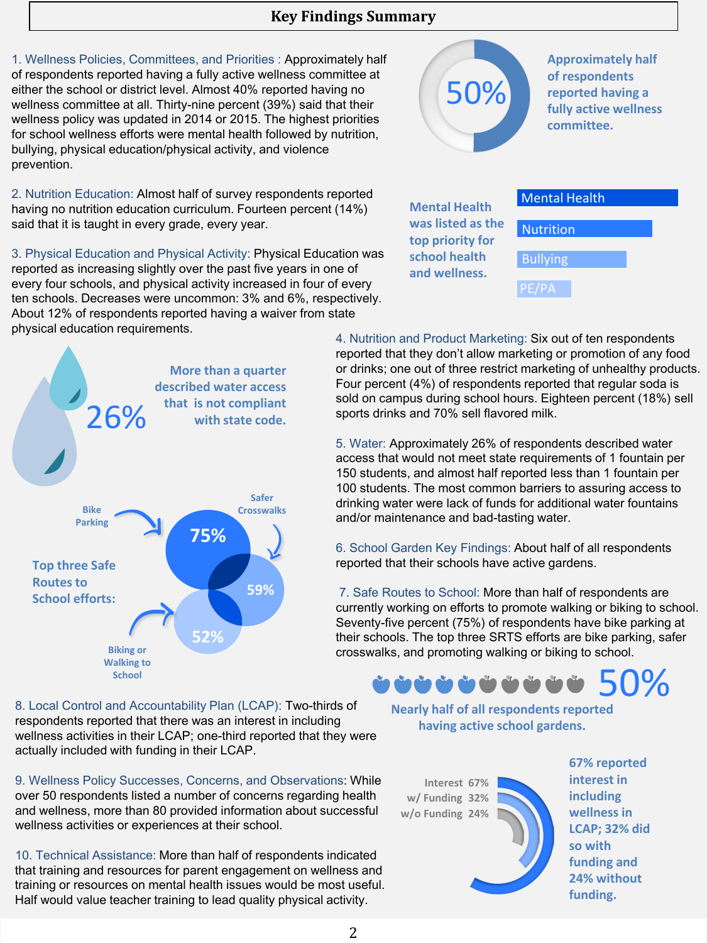## **Key Findings Summary**

1. Wellness Policies, Committees, and Priorities : Approximately half of respondents reported having a fully active wellness committee at either the school or district level. Almost 40% reported having no wellness committee at all. Thirty-nine percent (39%) said that their wellness policy was updated in 2014 or 2015. The highest priorities for school wellness efforts were mental health followed by nutrition, bullying, physical education/physical activity, and violence prevention.

2. Nutrition Education: Almost half of survey respondents reported having no nutrition education curriculum. Fourteen percent (14%) said that it is taught in every grade, every year.

3. Physical Education and Physical Activity: Physical Education was reported as increasing slightly over the past five years in one of every four schools, and physical activity increased in four of every ten schools. Decreases were uncommon: 3% and 6%, respectively. About 12% of respondents reported having a waiver from state physical education requirements. 4. Nutrition and Product Marketing: Six out of ten respondents



8. Local Control and Accountability Plan (LCAP): Two-thirds of respondents reported that there was an interest in including wellness activities in their LCAP; one-third reported that they were actually included with funding in their LCAP.

9. Wellness Policy Successes, Concerns, and Observations: While over 50 respondents listed a number of concerns regarding health and wellness, more than 80 provided information about successful wellness activities or experiences at their school.

10. Technical Assistance: More than half of respondents indicated that training and resources for parent engagement on wellness and training or resources on mental health issues would be most useful. Half would value teacher training to lead quality physical activity.



reported that they don't allow marketing or promotion of any food or drinks; one out of three restrict marketing of unhealthy products. Four percent (4%) of respondents reported that regular soda is sold on campus during school hours. Eighteen percent (18%) sell sports drinks and 70% sell flavored milk.

5. Water: Approximately 26% of respondents described water access that would not meet state requirements of 1 fountain per 150 students, and almost half reported less than 1 fountain per 100 students. The most common barriers to assuring access to drinking water were lack of funds for additional water fountains and/or maintenance and bad-tasting water.

6. School Garden Key Findings: About half of all respondents reported that their schools have active gardens.

7. Safe Routes to School: More than half of respondents are currently working on efforts to promote walking or biking to school. Seventy-five percent (75%) of respondents have bike parking at their schools. The top three SRTS efforts are bike parking, safer crosswalks, and promoting walking or biking to school.

# 50%

**Nearly half of all respondents reported having active school gardens.**

**Interest 67% w/ Funding 32% w/o Funding 24%**



**67% reported interest in including wellness in LCAP; 32% did so with funding and 24% without funding.**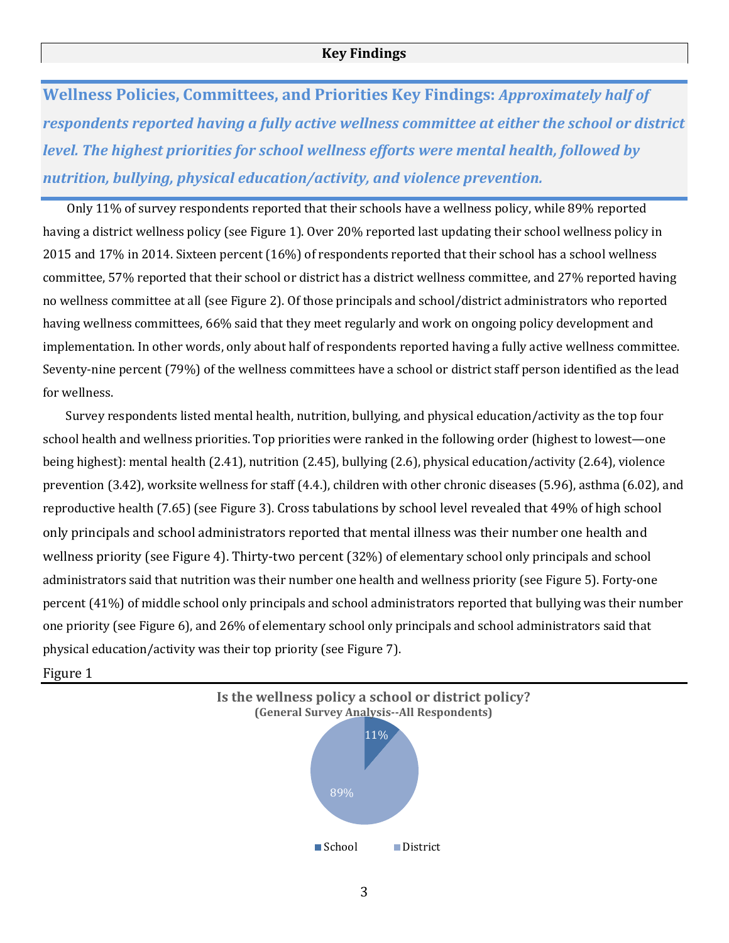**Wellness Policies, Committees, and Priorities Key Findings:** *Approximately half of respondents reported having a fully active wellness committee at either the school or district level. The highest priorities for school wellness efforts were mental health, followed by nutrition, bullying, physical education/activity, and violence prevention.* 

 Only 11% of survey respondents reported that their schools have a wellness policy, while 89% reported having a district wellness policy (see Figure 1). Over 20% reported last updating their school wellness policy in 2015 and 17% in 2014. Sixteen percent (16%) of respondents reported that their school has a school wellness committee, 57% reported that their school or district has a district wellness committee, and 27% reported having no wellness committee at all (see Figure 2). Of those principals and school/district administrators who reported having wellness committees, 66% said that they meet regularly and work on ongoing policy development and implementation. In other words, only about half of respondents reported having a fully active wellness committee. Seventy-nine percent (79%) of the wellness committees have a school or district staff person identified as the lead for wellness.

 Survey respondents listed mental health, nutrition, bullying, and physical education/activity as the top four school health and wellness priorities. Top priorities were ranked in the following order (highest to lowest—one being highest): mental health (2.41), nutrition (2.45), bullying (2.6), physical education/activity (2.64), violence prevention (3.42), worksite wellness for staff (4.4.), children with other chronic diseases (5.96), asthma (6.02), and reproductive health (7.65) (see Figure 3). Cross tabulations by school level revealed that 49% of high school only principals and school administrators reported that mental illness was their number one health and wellness priority (see Figure 4). Thirty-two percent (32%) of elementary school only principals and school administrators said that nutrition was their number one health and wellness priority (see Figure 5). Forty-one percent (41%) of middle school only principals and school administrators reported that bullying was their number one priority (see Figure 6), and 26% of elementary school only principals and school administrators said that physical education/activity was their top priority (see Figure 7).

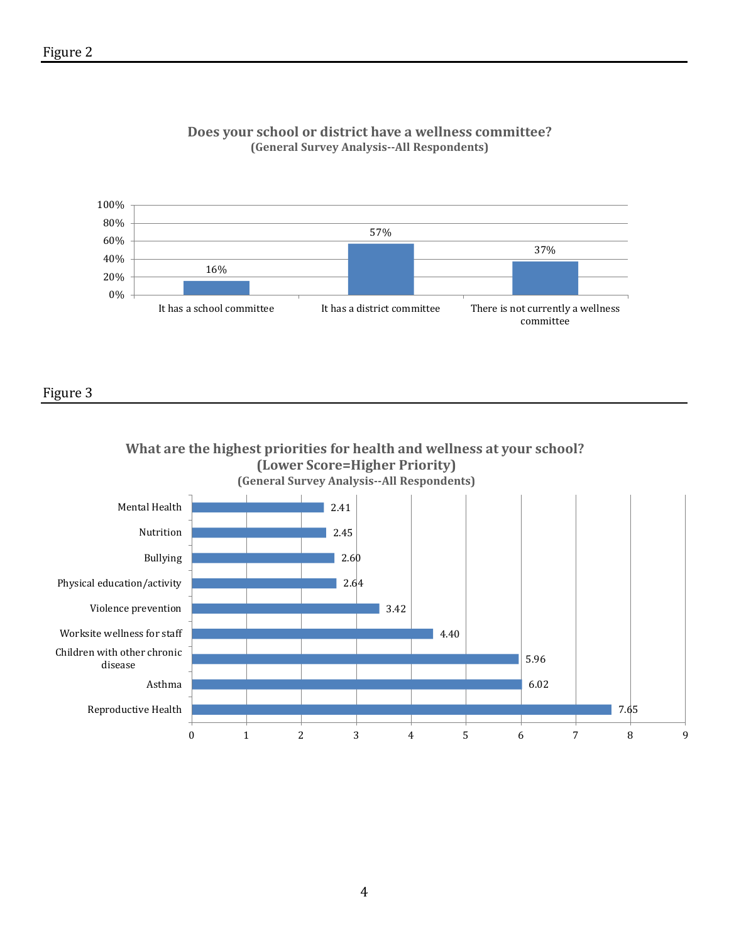

#### **Does your school or district have a wellness committee? (General Survey Analysis--All Respondents)**

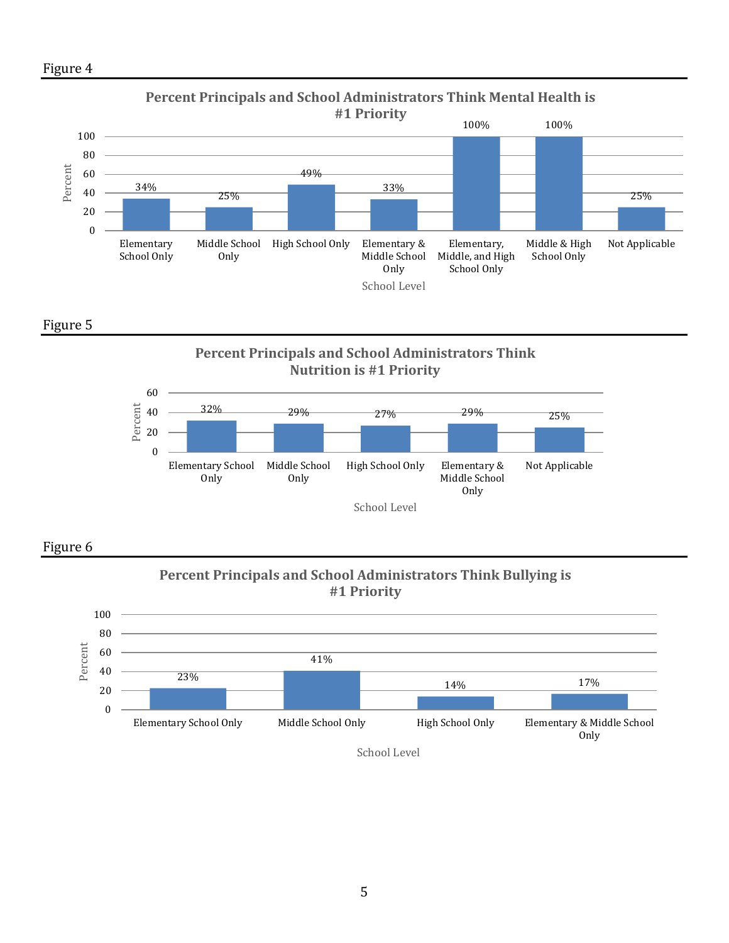





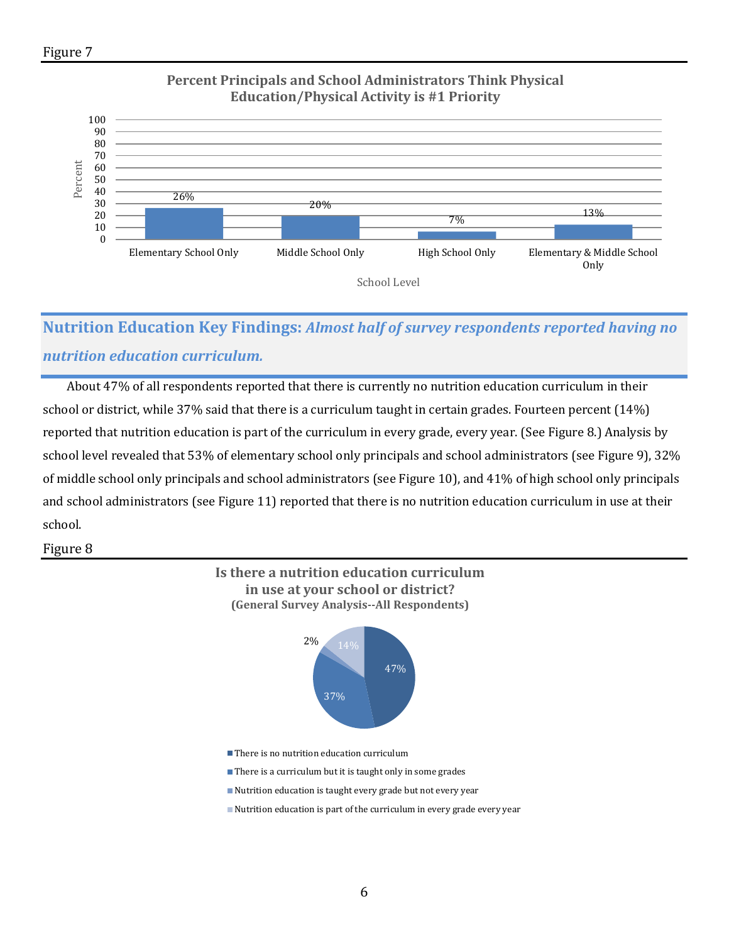

## **Percent Principals and School Administrators Think Physical Education/Physical Activity is #1 Priority**

# **Nutrition Education Key Findings:** *Almost half of survey respondents reported having no nutrition education curriculum.*

 About 47% of all respondents reported that there is currently no nutrition education curriculum in their school or district, while 37% said that there is a curriculum taught in certain grades. Fourteen percent (14%) reported that nutrition education is part of the curriculum in every grade, every year. (See Figure 8.) Analysis by school level revealed that 53% of elementary school only principals and school administrators (see Figure 9), 32% of middle school only principals and school administrators (see Figure 10), and 41% of high school only principals and school administrators (see Figure 11) reported that there is no nutrition education curriculum in use at their school.

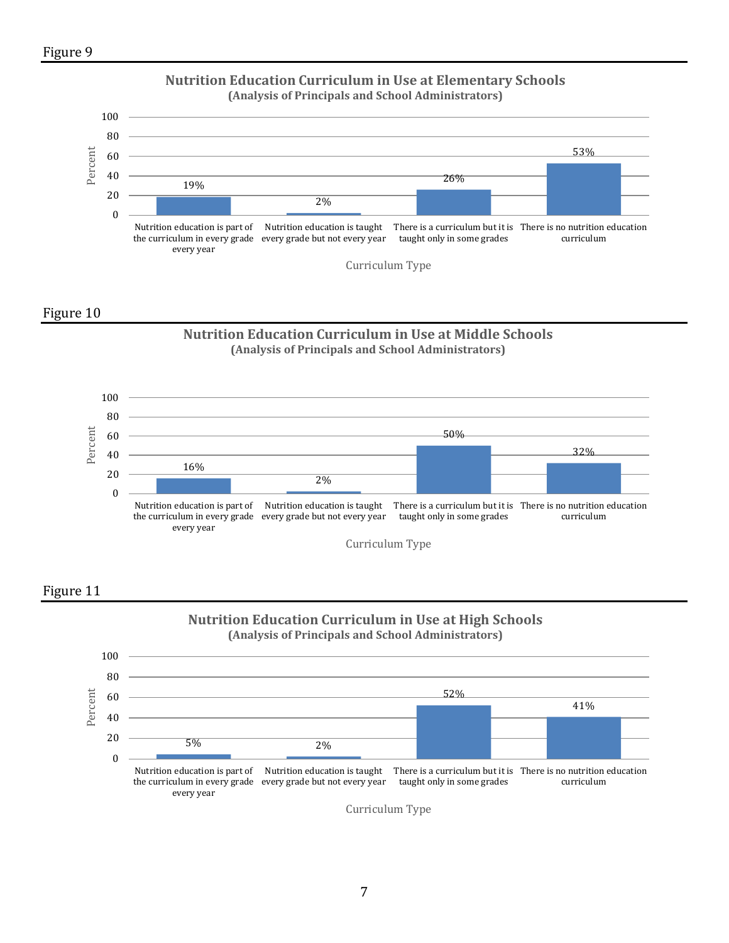





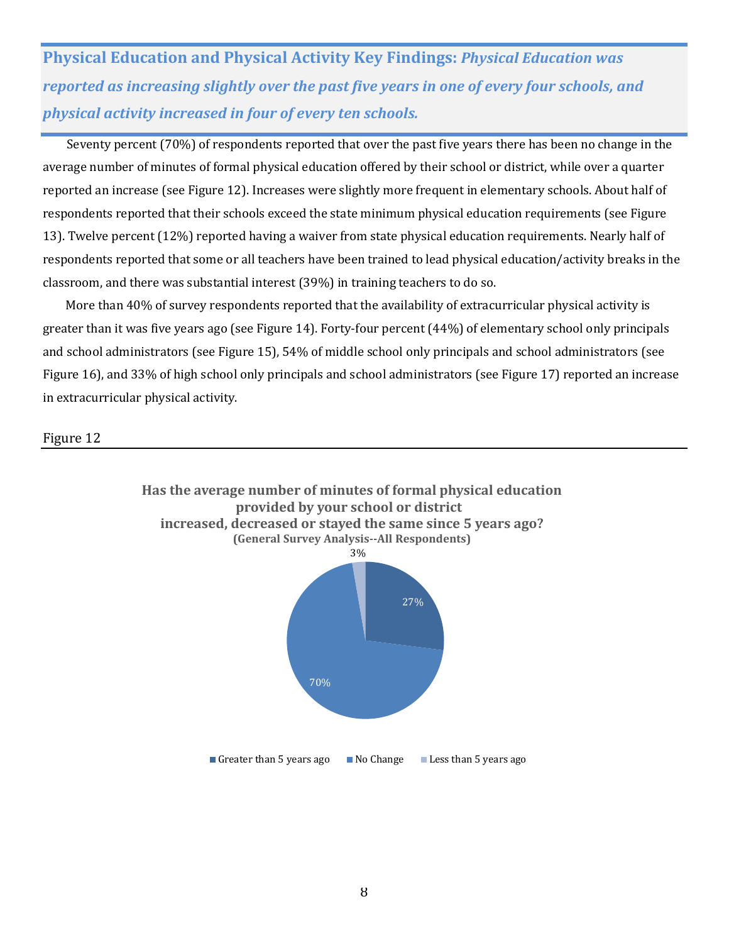**Physical Education and Physical Activity Key Findings:** *Physical Education was reported as increasing slightly over the past five years in one of every four schools, and physical activity increased in four of every ten schools.* 

 Seventy percent (70%) of respondents reported that over the past five years there has been no change in the average number of minutes of formal physical education offered by their school or district, while over a quarter reported an increase (see Figure 12). Increases were slightly more frequent in elementary schools. About half of respondents reported that their schools exceed the state minimum physical education requirements (see Figure 13). Twelve percent (12%) reported having a waiver from state physical education requirements. Nearly half of respondents reported that some or all teachers have been trained to lead physical education/activity breaks in the classroom, and there was substantial interest (39%) in training teachers to do so.

 More than 40% of survey respondents reported that the availability of extracurricular physical activity is greater than it was five years ago (see Figure 14). Forty-four percent (44%) of elementary school only principals and school administrators (see Figure 15), 54% of middle school only principals and school administrators (see Figure 16), and 33% of high school only principals and school administrators (see Figure 17) reported an increase in extracurricular physical activity.

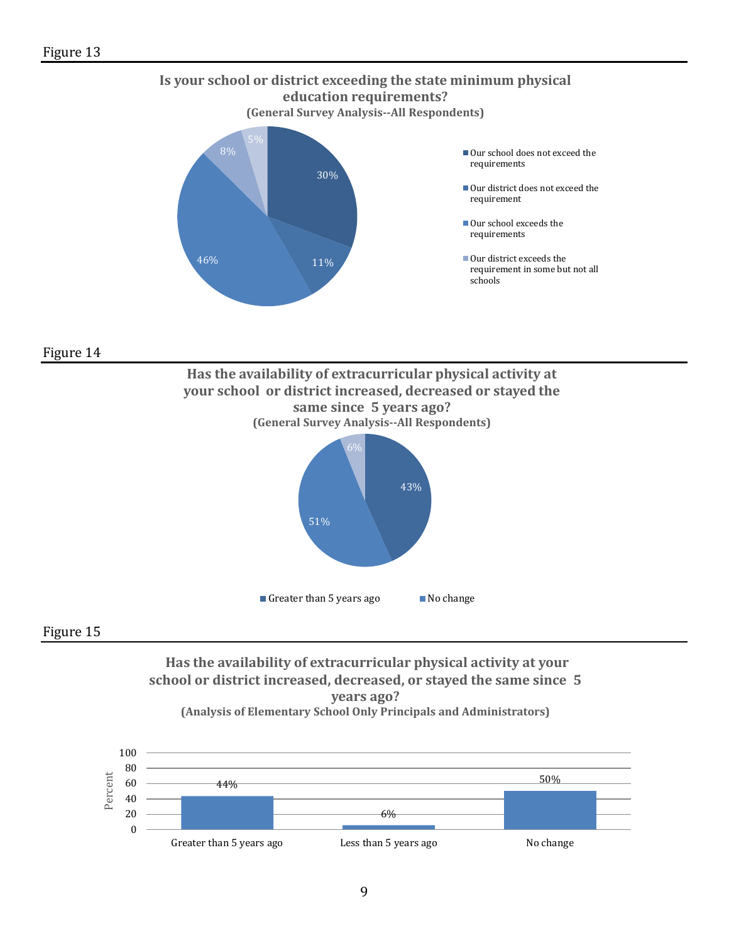



#### Figure 15

#### **Has the availability of extracurricular physical activity at your school or district increased, decreased, or stayed the same since 5 years ago? (Analysis of Elementary School Only Principals and Administrators)**

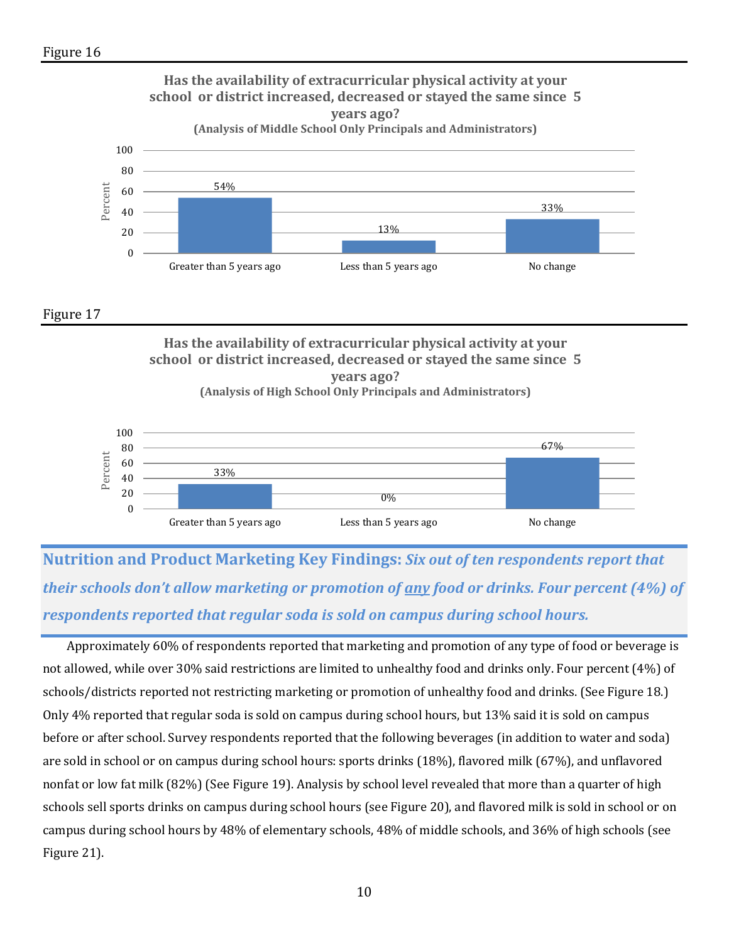

**Has the availability of extracurricular physical activity at your school or district increased, decreased or stayed the same since 5 years ago? (Analysis of High School Only Principals and Administrators)**



**Nutrition and Product Marketing Key Findings:** *Six out of ten respondents report that their schools don't allow marketing or promotion of any food or drinks. Four percent (4%) of respondents reported that regular soda is sold on campus during school hours.* 

 Approximately 60% of respondents reported that marketing and promotion of any type of food or beverage is not allowed, while over 30% said restrictions are limited to unhealthy food and drinks only. Four percent (4%) of schools/districts reported not restricting marketing or promotion of unhealthy food and drinks. (See Figure 18.) Only 4% reported that regular soda is sold on campus during school hours, but 13% said it is sold on campus before or after school. Survey respondents reported that the following beverages (in addition to water and soda) are sold in school or on campus during school hours: sports drinks (18%), flavored milk (67%), and unflavored nonfat or low fat milk (82%) (See Figure 19). Analysis by school level revealed that more than a quarter of high schools sell sports drinks on campus during school hours (see Figure 20), and flavored milk is sold in school or on campus during school hours by 48% of elementary schools, 48% of middle schools, and 36% of high schools (see Figure 21).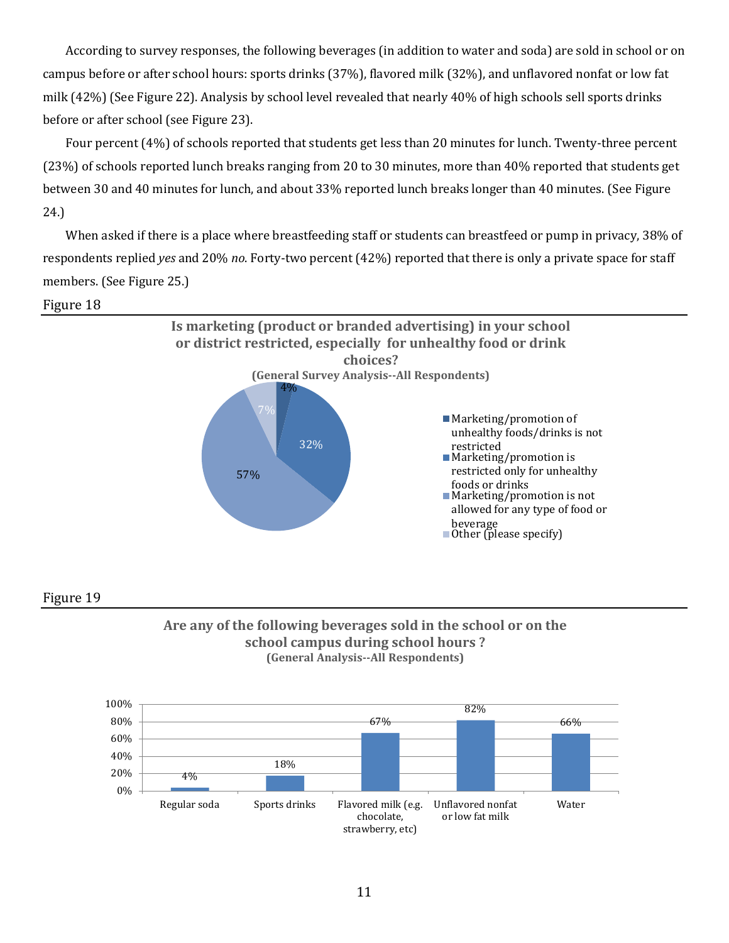According to survey responses, the following beverages (in addition to water and soda) are sold in school or on campus before or after school hours: sports drinks (37%), flavored milk (32%), and unflavored nonfat or low fat milk (42%) (See Figure 22). Analysis by school level revealed that nearly 40% of high schools sell sports drinks before or after school (see Figure 23).

 Four percent (4%) of schools reported that students get less than 20 minutes for lunch. Twenty-three percent (23%) of schools reported lunch breaks ranging from 20 to 30 minutes, more than 40% reported that students get between 30 and 40 minutes for lunch, and about 33% reported lunch breaks longer than 40 minutes. (See Figure 24.)

 When asked if there is a place where breastfeeding staff or students can breastfeed or pump in privacy, 38% of respondents replied *yes* and 20% *no*. Forty-two percent (42%) reported that there is only a private space for staff members. (See Figure 25.)

#### Figure 18





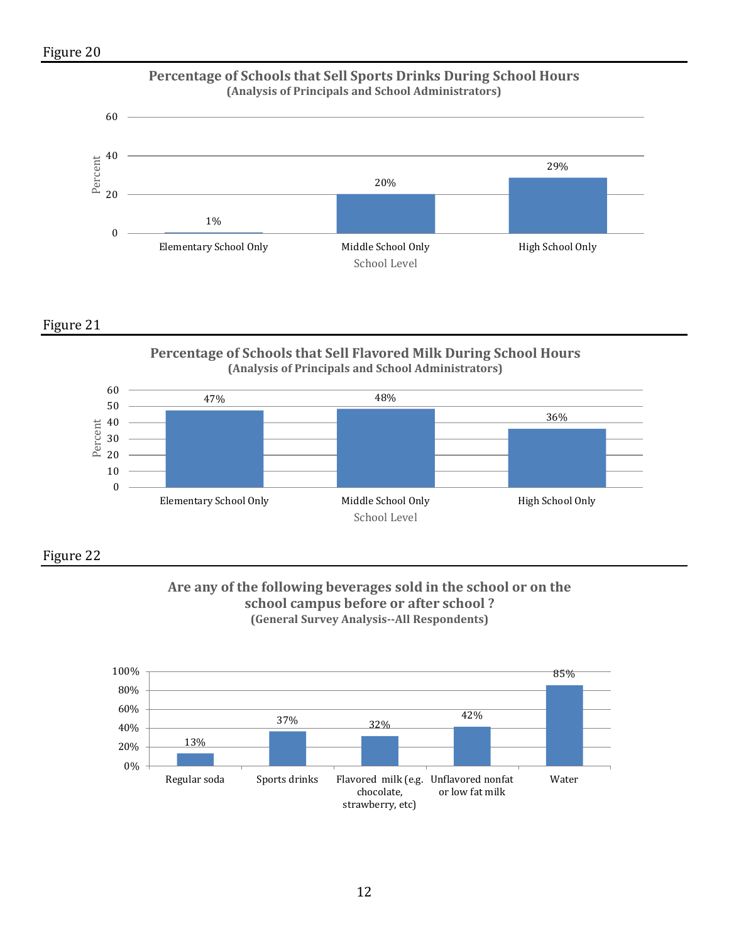

**Percentage of Schools that Sell Flavored Milk During School Hours (Analysis of Principals and School Administrators)**





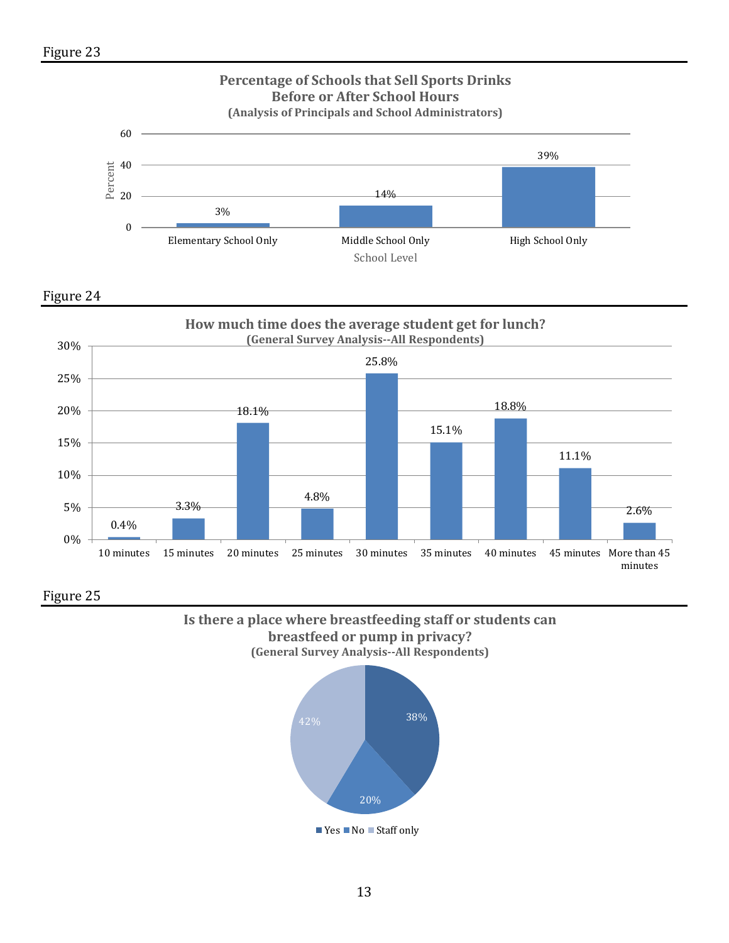





**Is there a place where breastfeeding staff or students can breastfeed or pump in privacy? (General Survey Analysis--All Respondents)** 

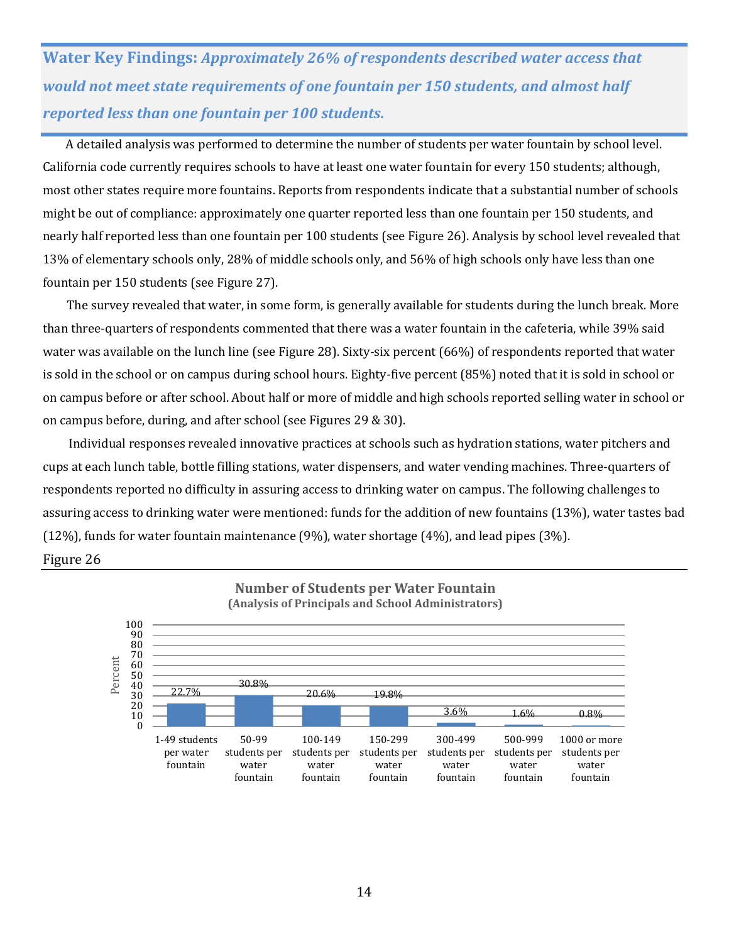**Water Key Findings:** *Approximately 26% of respondents described water access that would not meet state requirements of one fountain per 150 students, and almost half reported less than one fountain per 100 students.* 

 A detailed analysis was performed to determine the number of students per water fountain by school level. California code currently requires schools to have at least one water fountain for every 150 students; although, most other states require more fountains. Reports from respondents indicate that a substantial number of schools might be out of compliance: approximately one quarter reported less than one fountain per 150 students, and nearly half reported less than one fountain per 100 students (see Figure 26). Analysis by school level revealed that 13% of elementary schools only, 28% of middle schools only, and 56% of high schools only have less than one fountain per 150 students (see Figure 27).

The survey revealed that water, in some form, is generally available for students during the lunch break. More than three-quarters of respondents commented that there was a water fountain in the cafeteria, while 39% said water was available on the lunch line (see Figure 28). Sixty-six percent (66%) of respondents reported that water is sold in the school or on campus during school hours. Eighty-five percent (85%) noted that it is sold in school or on campus before or after school. About half or more of middle and high schools reported selling water in school or on campus before, during, and after school (see Figures 29 & 30).

 Individual responses revealed innovative practices at schools such as hydration stations, water pitchers and cups at each lunch table, bottle filling stations, water dispensers, and water vending machines. Three-quarters of respondents reported no difficulty in assuring access to drinking water on campus. The following challenges to assuring access to drinking water were mentioned: funds for the addition of new fountains (13%), water tastes bad (12%), funds for water fountain maintenance (9%), water shortage (4%), and lead pipes (3%).



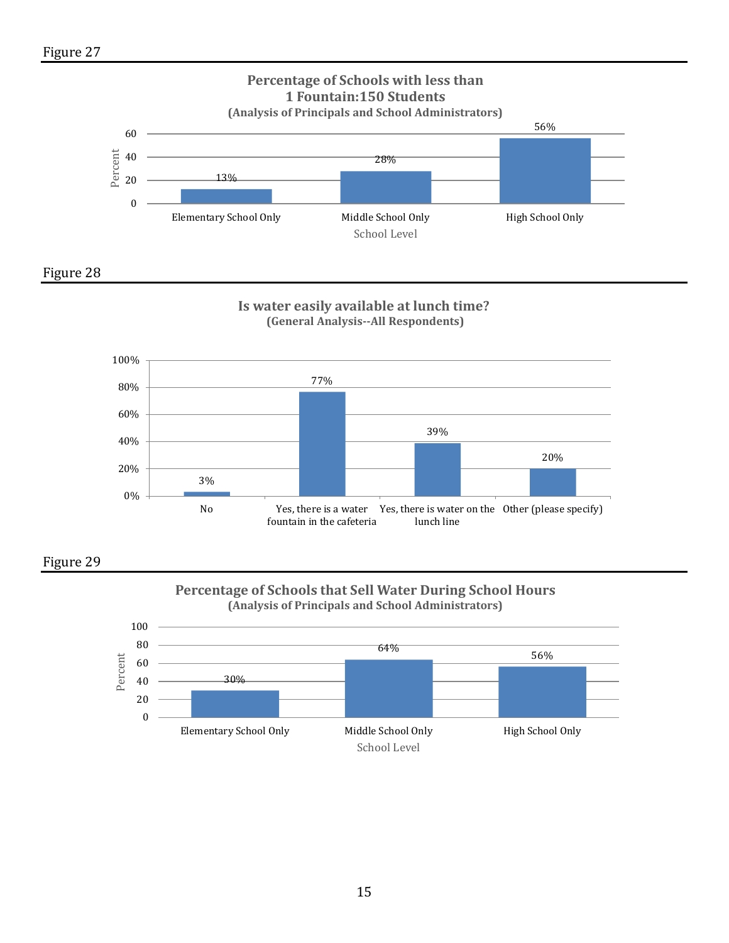







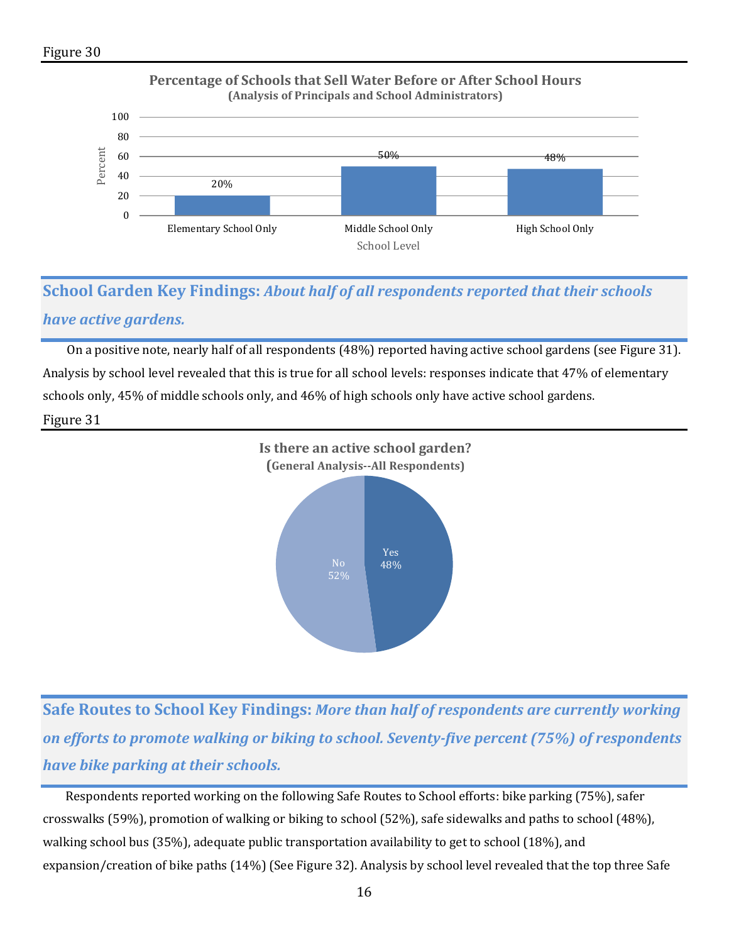

# **School Garden Key Findings:** *About half of all respondents reported that their schools have active gardens.*

 On a positive note, nearly half of all respondents (48%) reported having active school gardens (see Figure 31). Analysis by school level revealed that this is true for all school levels: responses indicate that 47% of elementary schools only, 45% of middle schools only, and 46% of high schools only have active school gardens.

#### Figure 31



**Safe Routes to School Key Findings:** *More than half of respondents are currently working on efforts to promote walking or biking to school. Seventy-five percent (75%) of respondents have bike parking at their schools.*

 Respondents reported working on the following Safe Routes to School efforts: bike parking (75%), safer crosswalks (59%), promotion of walking or biking to school (52%), safe sidewalks and paths to school (48%), walking school bus (35%), adequate public transportation availability to get to school (18%), and expansion/creation of bike paths (14%) (See Figure 32). Analysis by school level revealed that the top three Safe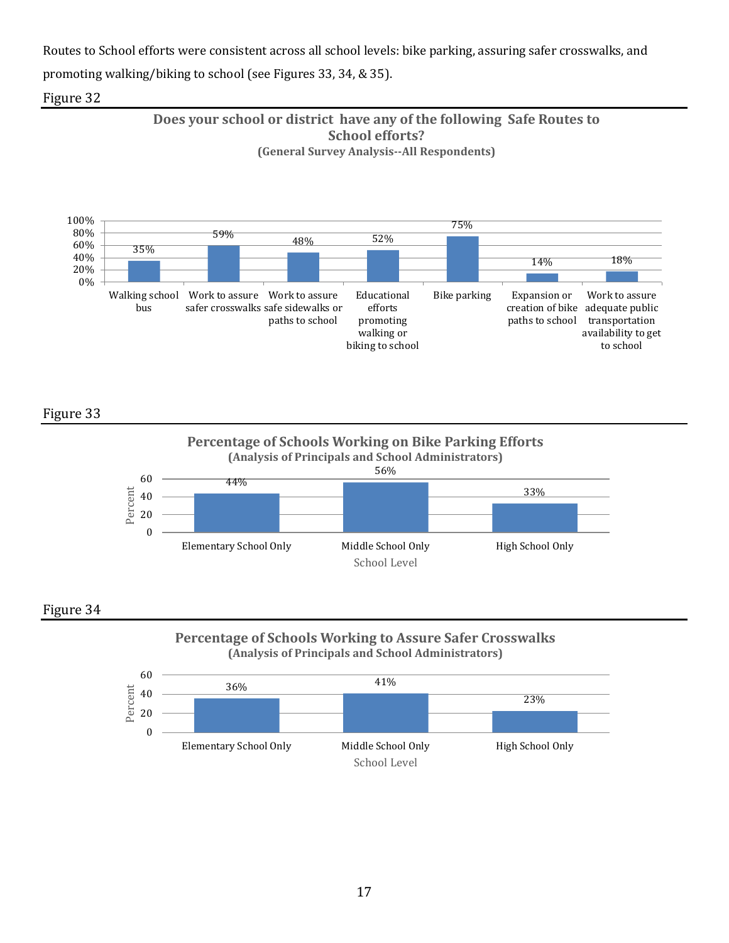Routes to School efforts were consistent across all school levels: bike parking, assuring safer crosswalks, and promoting walking/biking to school (see Figures 33, 34, & 35).

### Figure 32





Figure 33





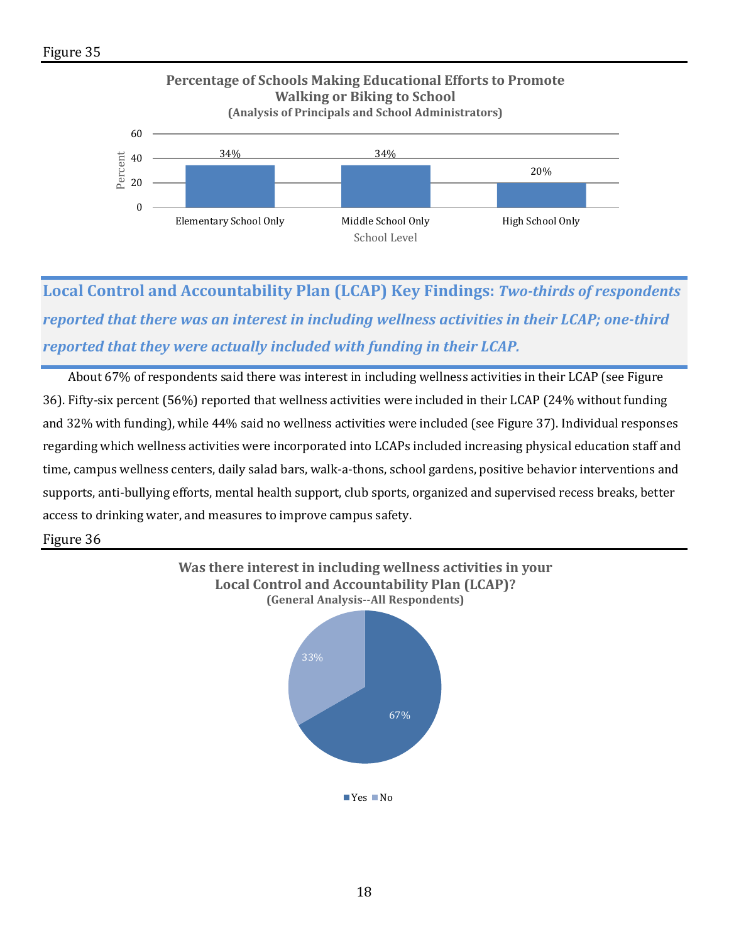

**Local Control and Accountability Plan (LCAP) Key Findings:** *Two-thirds of respondents reported that there was an interest in including wellness activities in their LCAP; one-third reported that they were actually included with funding in their LCAP.*

 About 67% of respondents said there was interest in including wellness activities in their LCAP (see Figure 36). Fifty-six percent (56%) reported that wellness activities were included in their LCAP (24% without funding and 32% with funding), while 44% said no wellness activities were included (see Figure 37). Individual responses regarding which wellness activities were incorporated into LCAPs included increasing physical education staff and time, campus wellness centers, daily salad bars, walk-a-thons, school gardens, positive behavior interventions and supports, anti-bullying efforts, mental health support, club sports, organized and supervised recess breaks, better access to drinking water, and measures to improve campus safety.

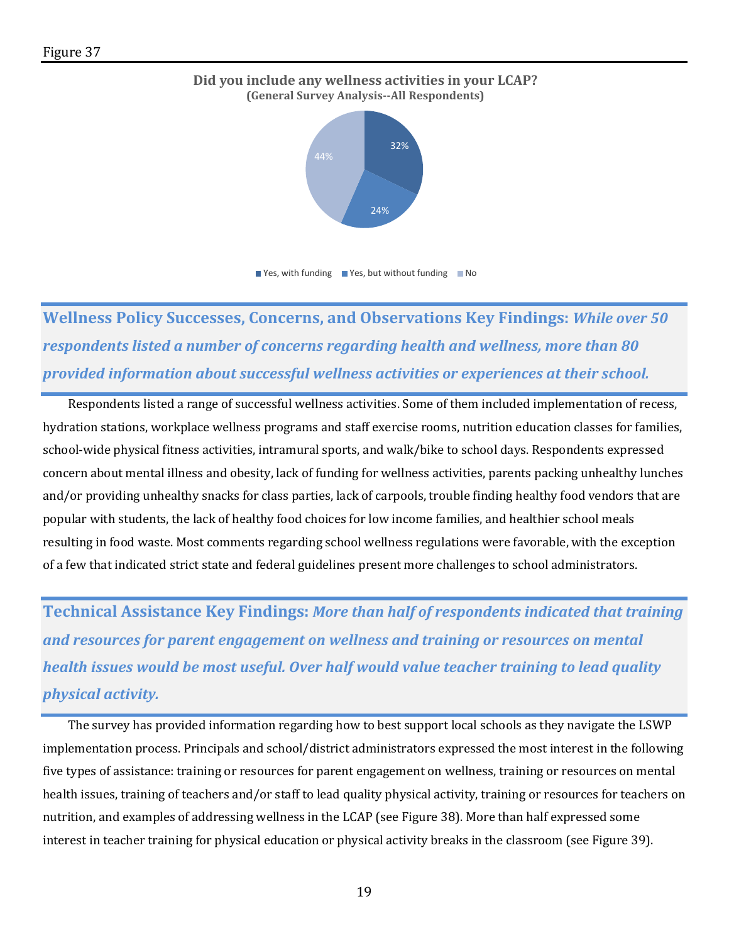



 $\blacksquare$  Yes, with funding  $\blacksquare$  Yes, but without funding  $\blacksquare$  No

**Wellness Policy Successes, Concerns, and Observations Key Findings:** *While over 50 respondents listed a number of concerns regarding health and wellness, more than 80 provided information about successful wellness activities or experiences at their school.* 

 Respondents listed a range of successful wellness activities. Some of them included implementation of recess, hydration stations, workplace wellness programs and staff exercise rooms, nutrition education classes for families, school-wide physical fitness activities, intramural sports, and walk/bike to school days. Respondents expressed concern about mental illness and obesity, lack of funding for wellness activities, parents packing unhealthy lunches and/or providing unhealthy snacks for class parties, lack of carpools, trouble finding healthy food vendors that are popular with students, the lack of healthy food choices for low income families, and healthier school meals resulting in food waste. Most comments regarding school wellness regulations were favorable, with the exception of a few that indicated strict state and federal guidelines present more challenges to school administrators.

**Technical Assistance Key Findings:** *More than half of respondents indicated that training and resources for parent engagement on wellness and training or resources on mental health issues would be most useful. Over half would value teacher training to lead quality physical activity.*

The survey has provided information regarding how to best support local schools as they navigate the LSWP implementation process. Principals and school/district administrators expressed the most interest in the following five types of assistance: training or resources for parent engagement on wellness, training or resources on mental health issues, training of teachers and/or staff to lead quality physical activity, training or resources for teachers on nutrition, and examples of addressing wellness in the LCAP (see Figure 38). More than half expressed some interest in teacher training for physical education or physical activity breaks in the classroom (see Figure 39).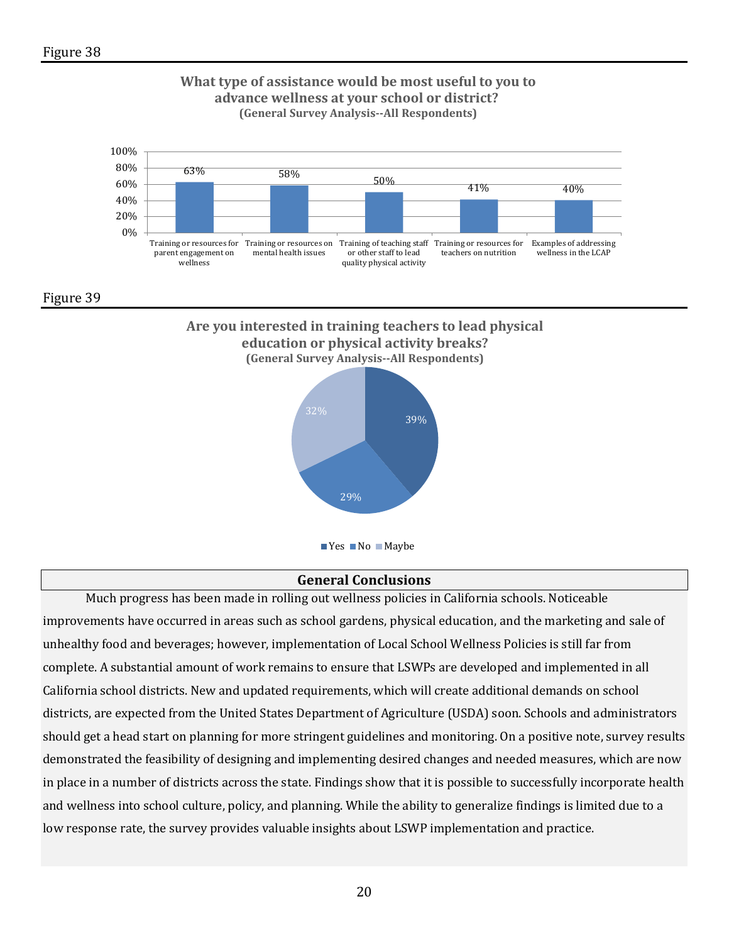

#### **General Conclusions**

Much progress has been made in rolling out wellness policies in California schools. Noticeable improvements have occurred in areas such as school gardens, physical education, and the marketing and sale of unhealthy food and beverages; however, implementation of Local School Wellness Policies is still far from complete. A substantial amount of work remains to ensure that LSWPs are developed and implemented in all California school districts. New and updated requirements, which will create additional demands on school districts, are expected from the United States Department of Agriculture (USDA) soon. Schools and administrators should get a head start on planning for more stringent guidelines and monitoring. On a positive note, survey results demonstrated the feasibility of designing and implementing desired changes and needed measures, which are now in place in a number of districts across the state. Findings show that it is possible to successfully incorporate health and wellness into school culture, policy, and planning. While the ability to generalize findings is limited due to a low response rate, the survey provides valuable insights about LSWP implementation and practice.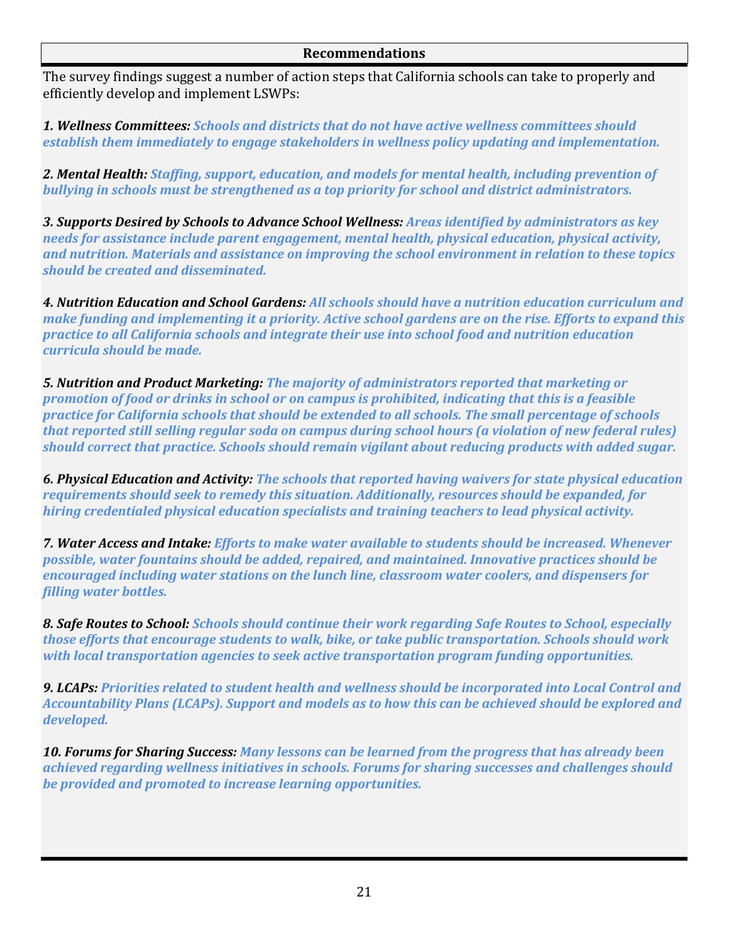The survey findings suggest a number of action steps that California schools can take to properly and efficiently develop and implement LSWPs:

*1. Wellness Committees: Schools and districts that do not have active wellness committees should establish them immediately to engage stakeholders in wellness policy updating and implementation.*

*2. Mental Health: Staffing, support, education, and models for mental health, including prevention of bullying in schools must be strengthened as a top priority for school and district administrators.*

*3. Supports Desired by Schools to Advance School Wellness: Areas identified by administrators as key needs for assistance include parent engagement, mental health, physical education, physical activity, and nutrition. Materials and assistance on improving the school environment in relation to these topics should be created and disseminated.*

*4. Nutrition Education and School Gardens: All schools should have a nutrition education curriculum and make funding and implementing it a priority. Active school gardens are on the rise. Efforts to expand this practice to all California schools and integrate their use into school food and nutrition education curricula should be made.*

*5. Nutrition and Product Marketing: The majority of administrators reported that marketing or promotion of food or drinks in school or on campus is prohibited, indicating that this is a feasible practice for California schools that should be extended to all schools. The small percentage of schools that reported still selling regular soda on campus during school hours (a violation of new federal rules) should correct that practice. Schools should remain vigilant about reducing products with added sugar.*

*6. Physical Education and Activity: The schools that reported having waivers for state physical education requirements should seek to remedy this situation. Additionally, resources should be expanded, for hiring credentialed physical education specialists and training teachers to lead physical activity.*

*7. Water Access and Intake: Efforts to make water available to students should be increased. Whenever possible, water fountains should be added, repaired, and maintained. Innovative practices should be encouraged including water stations on the lunch line, classroom water coolers, and dispensers for filling water bottles.*

*8. Safe Routes to School: Schools should continue their work regarding Safe Routes to School, especially those efforts that encourage students to walk, bike, or take public transportation. Schools should work with local transportation agencies to seek active transportation program funding opportunities.*

*9. LCAPs: Priorities related to student health and wellness should be incorporated into Local Control and Accountability Plans (LCAPs). Support and models as to how this can be achieved should be explored and developed.*

*10. Forums for Sharing Success: Many lessons can be learned from the progress that has already been achieved regarding wellness initiatives in schools. Forums for sharing successes and challenges should be provided and promoted to increase learning opportunities.*